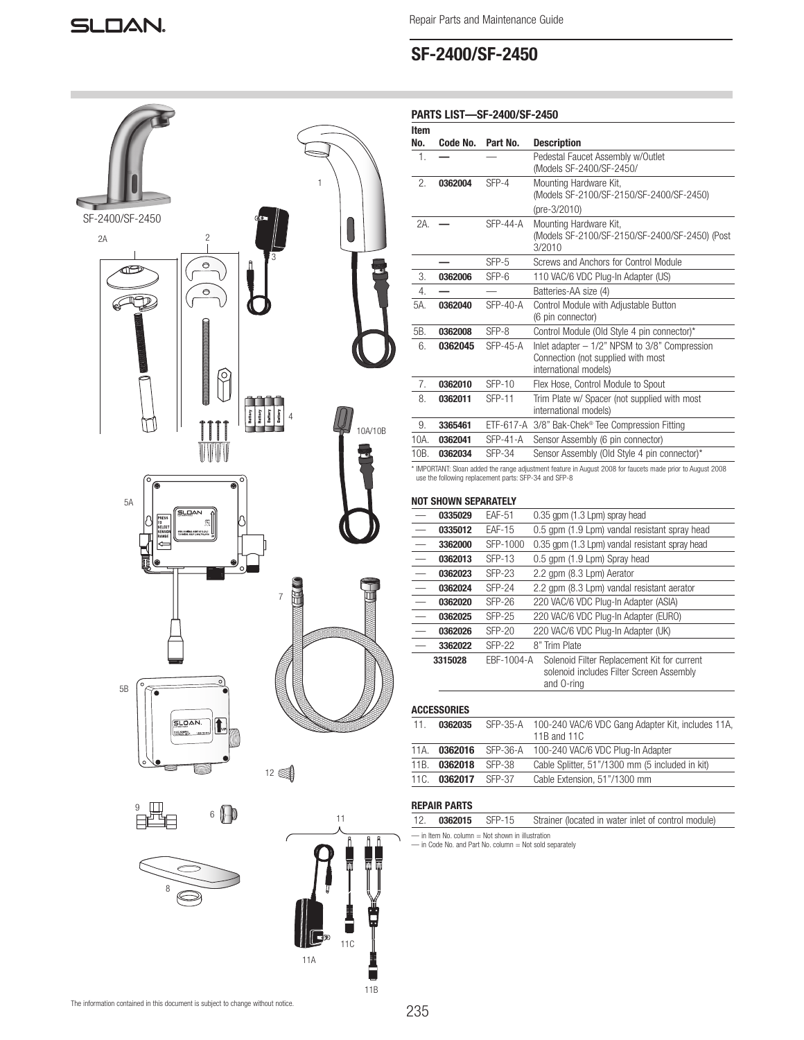## SF-2400/SF-2450



| SF-2400/SF-2450                                                                            | $\mathbf{1}$<br>GO <sub>1</sub>                                       |
|--------------------------------------------------------------------------------------------|-----------------------------------------------------------------------|
| $\overline{c}$<br>2A<br>I                                                                  | $\overline{3}$                                                        |
| $\circ$<br>齐<br>ゼ<br>$\circ$                                                               | ij                                                                    |
| ⊌                                                                                          |                                                                       |
|                                                                                            |                                                                       |
| C                                                                                          |                                                                       |
| Ì<br><b>Communication</b>                                                                  | Battery<br>Battery<br>Battery<br>Battery<br>$\overline{4}$<br>10A/10B |
| $\overline{\circ}$                                                                         | $\circ$                                                               |
| ◉<br>$\overline{\bullet}$<br>5A<br><b>SLOAN</b>                                            |                                                                       |
| PRESS<br>TO<br>SELECT<br>SENSOR<br>RANGE<br>NOMBAL ASHE ATT2.16.1<br>Dal help:1485-756-254 |                                                                       |
| $\bullet$                                                                                  | $\circ$                                                               |
|                                                                                            | $\overline{7}$<br>П                                                   |
|                                                                                            |                                                                       |
| $\circ$<br>$\circ$<br>5B<br>$\widetilde{\mathbf{G}}$                                       |                                                                       |
| SLOAN.<br>$\mathbf{t}$                                                                     |                                                                       |
| $\circ$                                                                                    | $12 \in \text{F}$                                                     |
|                                                                                            |                                                                       |
| $\frac{9}{5}$<br>$6$ $\bigoplus$                                                           | 11<br>$\mathbf{f}$<br>Ô                                               |
|                                                                                            |                                                                       |
| $\overline{8}$                                                                             |                                                                       |

| Item<br>No.    | Code No. | Part No.                                              | <b>Description</b>                                                                                                |
|----------------|----------|-------------------------------------------------------|-------------------------------------------------------------------------------------------------------------------|
| $\mathbf{1}$ . |          |                                                       | Pedestal Faucet Assembly w/Outlet<br>(Models SF-2400/SF-2450/                                                     |
| 2.             | 0362004  | SFP-4                                                 | Mounting Hardware Kit,<br>(Models SF-2100/SF-2150/SF-2400/SF-2450)                                                |
|                |          |                                                       | (pre-3/2010)                                                                                                      |
| 2A.            |          | $SFP-44-A$                                            | Mounting Hardware Kit,<br>(Models SF-2100/SF-2150/SF-2400/SF-2450) (Post<br>3/2010                                |
|                |          | $SFP-5$                                               | Screws and Anchors for Control Module                                                                             |
| 3.             | 0362006  | $SFP-6$                                               | 110 VAC/6 VDC Plug-In Adapter (US)                                                                                |
| 4.             |          |                                                       | Batteries-AA size (4)                                                                                             |
| 5A.            | 0362040  | $SFP-40-A$                                            | Control Module with Adjustable Button<br>(6 pin connector)                                                        |
| 5B.            | 0362008  | SFP-8                                                 | Control Module (Old Style 4 pin connector)*                                                                       |
| 6.             | 0362045  | $SFP-45-A$                                            | Inlet adapter $-1/2$ " NPSM to $3/8$ " Compression<br>Connection (not supplied with most<br>international models) |
| 7 <sub>1</sub> | 0362010  | $SFP-10$                                              | Flex Hose, Control Module to Spout                                                                                |
| 8.             | 0362011  | <b>SFP-11</b>                                         | Trim Plate w/ Spacer (not supplied with most<br>international models)                                             |
| 9.             | 3365461  | ETF-617-A                                             | 3/8" Bak-Chek® Tee Compression Fitting                                                                            |
| 10A            | 0362041  | $SFP-41-A$                                            | Sensor Assembly (6 pin connector)                                                                                 |
| 10B.           | 0362034  | SFP-34                                                | Sensor Assembly (Old Style 4 pin connector)*                                                                      |
|                |          | use the following replacement parts: SFP-34 and SFP-8 | * IMPORTANT: Sloan added the range adjustment feature in August 2008 for faucets made prior to August 2008        |

### NOT SHOWN SEPARATELY

| 0335029 | <b>EAF-51</b> | 0.35 gpm (1.3 Lpm) spray head                                                                         |
|---------|---------------|-------------------------------------------------------------------------------------------------------|
| 0335012 | <b>EAF-15</b> | 0.5 gpm (1.9 Lpm) vandal resistant spray head                                                         |
| 3362000 | SFP-1000      | 0.35 gpm (1.3 Lpm) vandal resistant spray head                                                        |
| 0362013 | SFP-13        | 0.5 gpm (1.9 Lpm) Spray head                                                                          |
| 0362023 | <b>SFP-23</b> | 2.2 gpm (8.3 Lpm) Aerator                                                                             |
| 0362024 | $SFP-24$      | 2.2 qpm (8.3 Lpm) vandal resistant aerator                                                            |
| 0362020 | <b>SFP-26</b> | 220 VAC/6 VDC Plug-In Adapter (ASIA)                                                                  |
| 0362025 | <b>SFP-25</b> | 220 VAC/6 VDC Plug-In Adapter (EURO)                                                                  |
| 0362026 | $SFP-20$      | 220 VAC/6 VDC Plug-In Adapter (UK)                                                                    |
| 3362022 | <b>SFP-22</b> | 8" Trim Plate                                                                                         |
| 3315028 | EBF-1004-A    | Solenoid Filter Replacement Kit for current<br>solenoid includes Filter Screen Assembly<br>and O-ring |
|         |               |                                                                                                       |

# ACCESSORIES 11. 0362035 SFP-35-A 100-240 VAC/6 VDC Gang Adapter Kit, includes 11A, 11B and 11C

| 11A. |                     | 0362016 SFP-36-A 100-240 VAC/6 VDC Plug-In Adapter |
|------|---------------------|----------------------------------------------------|
|      | 11B. 0362018 SFP-38 | Cable Splitter, 51"/1300 mm (5 included in kit)    |
|      | 110. 0362017 SFP-37 | Cable Extension, 51"/1300 mm                       |
|      |                     |                                                    |

## REPAIR PARTS

| 12.                                              | 0362015 SFP-15 |  | Strainer (located in water inlet of control module) |  |
|--------------------------------------------------|----------------|--|-----------------------------------------------------|--|
| - in Item No. column = Not shown in illustration |                |  |                                                     |  |

— in Item No. column = Not shown in illustration — in Code No. and Part No. column = Not sold separately

11A

 $\Vert$ C

 $\overline{\phantom{0}}$ 11C

11B

å

ÿ